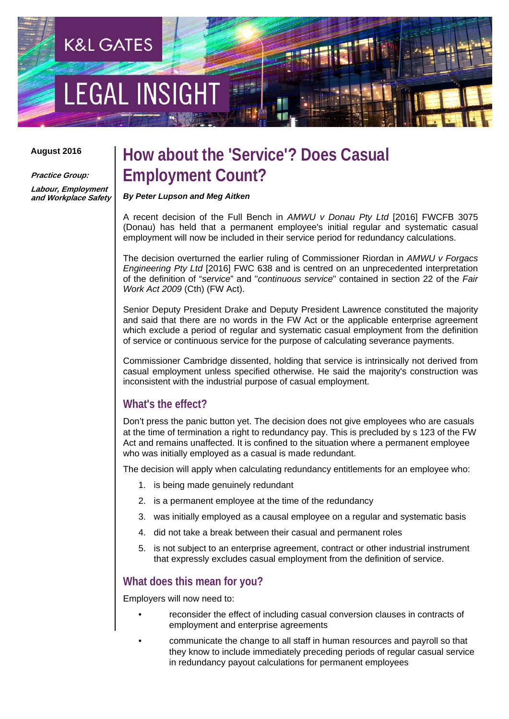# **LEGAL INSIGH**

**K&L GATES** 

#### **August 2016**

**Practice Group:** 

**Labour, Employment and Workplace Safety**

### **How about the 'Service'? Does Casual Employment Count?**

*By Peter Lupson and Meg Aitken* 

A recent decision of the Full Bench in *AMWU v Donau Pty Ltd* [2016] FWCFB 3075 (Donau) has held that a permanent employee's initial regular and systematic casual employment will now be included in their service period for redundancy calculations.

The decision overturned the earlier ruling of Commissioner Riordan in *AMWU v Forgacs Engineering Pty Ltd* [2016] FWC 638 and is centred on an unprecedented interpretation of the definition of "*service*" and "*continuous service*" contained in section 22 of the *Fair Work Act 2009* (Cth) (FW Act).

Senior Deputy President Drake and Deputy President Lawrence constituted the majority and said that there are no words in the FW Act or the applicable enterprise agreement which exclude a period of regular and systematic casual employment from the definition of service or continuous service for the purpose of calculating severance payments.

Commissioner Cambridge dissented, holding that service is intrinsically not derived from casual employment unless specified otherwise. He said the majority's construction was inconsistent with the industrial purpose of casual employment.

#### **What's the effect?**

Don't press the panic button yet. The decision does not give employees who are casuals at the time of termination a right to redundancy pay. This is precluded by s 123 of the FW Act and remains unaffected. It is confined to the situation where a permanent employee who was initially employed as a casual is made redundant.

The decision will apply when calculating redundancy entitlements for an employee who:

- 1. is being made genuinely redundant
- 2. is a permanent employee at the time of the redundancy
- 3. was initially employed as a causal employee on a regular and systematic basis
- 4. did not take a break between their casual and permanent roles
- 5. is not subject to an enterprise agreement, contract or other industrial instrument that expressly excludes casual employment from the definition of service.

#### **What does this mean for you?**

Employers will now need to:

- reconsider the effect of including casual conversion clauses in contracts of employment and enterprise agreements
- communicate the change to all staff in human resources and payroll so that they know to include immediately preceding periods of regular casual service in redundancy payout calculations for permanent employees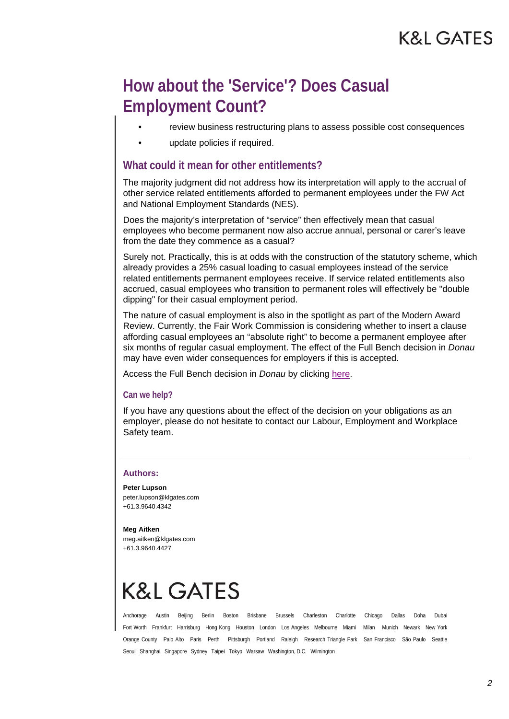## **How about the 'Service'? Does Casual Employment Count?**

- review business restructuring plans to assess possible cost consequences
- update policies if required.

#### **What could it mean for other entitlements?**

The majority judgment did not address how its interpretation will apply to the accrual of other service related entitlements afforded to permanent employees under the FW Act and National Employment Standards (NES).

Does the majority's interpretation of "service" then effectively mean that casual employees who become permanent now also accrue annual, personal or carer's leave from the date they commence as a casual?

Surely not. Practically, this is at odds with the construction of the statutory scheme, which already provides a 25% casual loading to casual employees instead of the service related entitlements permanent employees receive. If service related entitlements also accrued, casual employees who transition to permanent roles will effectively be "double dipping" for their casual employment period.

The nature of casual employment is also in the spotlight as part of the Modern Award Review. Currently, the Fair Work Commission is considering whether to insert a clause affording casual employees an "absolute right" to become a permanent employee after six months of regular casual employment. The effect of the Full Bench decision in *Donau* may have even wider consequences for employers if this is accepted.

Access the Full Bench decision in *Donau* by clicking here.

#### **Can we help?**

If you have any questions about the effect of the decision on your obligations as an employer, please do not hesitate to contact our Labour, Employment and Workplace Safety team.

#### **Authors:**

**Peter Lupson**  peter.lupson@klgates.com +61.3.9640.4342

#### **Meg Aitken**

meg.aitken@klgates.com +61.3.9640.4427

## K&L GATES

Anchorage Austin Beijing Berlin Boston Brisbane Brussels Charleston Charlotte Chicago Dallas Doha Dubai Fort Worth Frankfurt Harrisburg Hong Kong Houston London Los Angeles Melbourne Miami Milan Munich Newark New York Orange County Palo Alto Paris Perth Pittsburgh Portland Raleigh Research Triangle Park San Francisco São Paulo Seattle Seoul Shanghai Singapore Sydney Taipei Tokyo Warsaw Washington, D.C. Wilmington